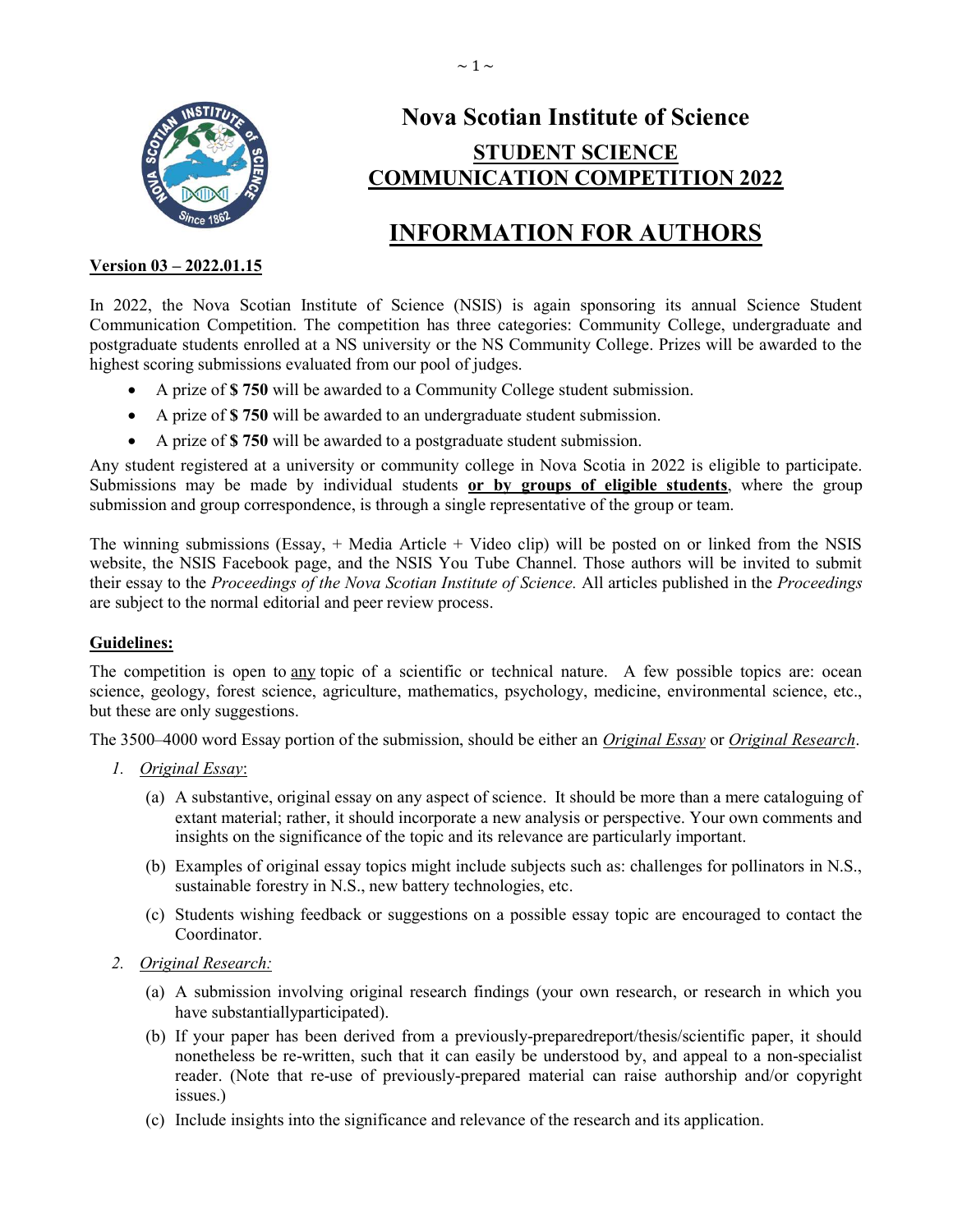

# Nova Scotian Institute of Science STUDENT SCIENCE COMMUNICATION COMPETITION 2022

# INFORMATION FOR AUTHORS

# Version 03 – 2022.01.15

In 2022, the Nova Scotian Institute of Science (NSIS) is again sponsoring its annual Science Student Communication Competition. The competition has three categories: Community College, undergraduate and postgraduate students enrolled at a NS university or the NS Community College. Prizes will be awarded to the highest scoring submissions evaluated from our pool of judges.

- A prize of \$ 750 will be awarded to a Community College student submission.
- A prize of \$ 750 will be awarded to an undergraduate student submission.
- A prize of \$ 750 will be awarded to a postgraduate student submission.

Any student registered at a university or community college in Nova Scotia in 2022 is eligible to participate. Submissions may be made by individual students or by groups of eligible students, where the group submission and group correspondence, is through a single representative of the group or team.

The winning submissions (Essay, + Media Article + Video clip) will be posted on or linked from the NSIS website, the NSIS Facebook page, and the NSIS You Tube Channel. Those authors will be invited to submit their essay to the Proceedings of the Nova Scotian Institute of Science. All articles published in the Proceedings are subject to the normal editorial and peer review process.

## Guidelines:

The competition is open to any topic of a scientific or technical nature. A few possible topics are: ocean science, geology, forest science, agriculture, mathematics, psychology, medicine, environmental science, etc., but these are only suggestions.

The 3500–4000 word Essay portion of the submission, should be either an *Original Essay* or *Original Research*.

- 1. Original Essay:
	- (a) A substantive, original essay on any aspect of science. It should be more than a mere cataloguing of extant material; rather, it should incorporate a new analysis or perspective. Your own comments and insights on the significance of the topic and its relevance are particularly important.
	- (b) Examples of original essay topics might include subjects such as: challenges for pollinators in N.S., sustainable forestry in N.S., new battery technologies, etc.
	- (c) Students wishing feedback or suggestions on a possible essay topic are encouraged to contact the Coordinator.
- 2. Original Research:
	- (a) A submission involving original research findings (your own research, or research in which you have substantiallyparticipated).
	- (b) If your paper has been derived from a previously-preparedreport/thesis/scientific paper, it should nonetheless be re-written, such that it can easily be understood by, and appeal to a non-specialist reader. (Note that re-use of previously-prepared material can raise authorship and/or copyright issues.)
	- (c) Include insights into the significance and relevance of the research and its application.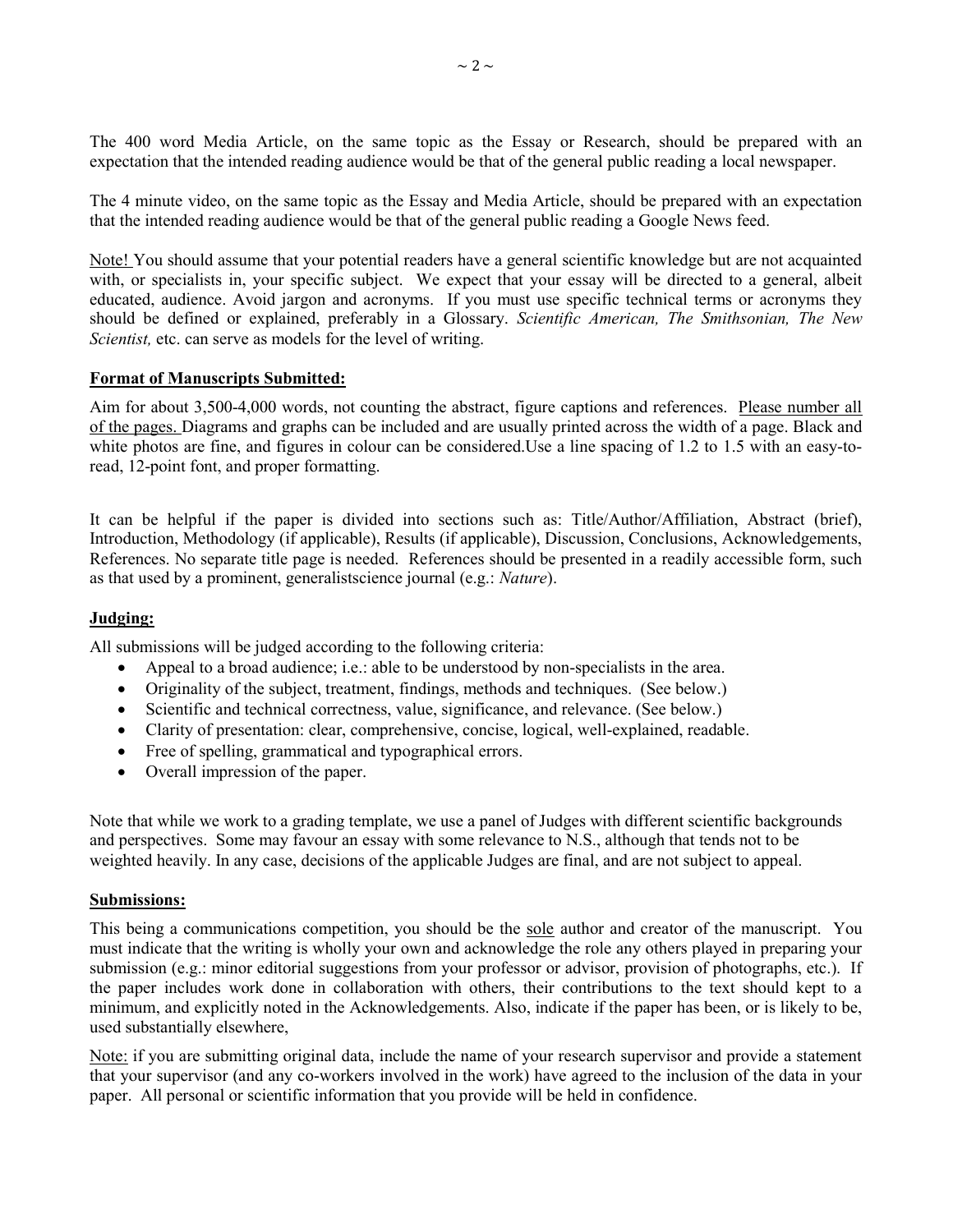The 400 word Media Article, on the same topic as the Essay or Research, should be prepared with an expectation that the intended reading audience would be that of the general public reading a local newspaper.

The 4 minute video, on the same topic as the Essay and Media Article, should be prepared with an expectation that the intended reading audience would be that of the general public reading a Google News feed.

Note! You should assume that your potential readers have a general scientific knowledge but are not acquainted with, or specialists in, your specific subject. We expect that your essay will be directed to a general, albeit educated, audience. Avoid jargon and acronyms. If you must use specific technical terms or acronyms they should be defined or explained, preferably in a Glossary. Scientific American, The Smithsonian, The New Scientist, etc. can serve as models for the level of writing.

### Format of Manuscripts Submitted:

Aim for about 3,500-4,000 words, not counting the abstract, figure captions and references. Please number all of the pages. Diagrams and graphs can be included and are usually printed across the width of a page. Black and white photos are fine, and figures in colour can be considered. Use a line spacing of 1.2 to 1.5 with an easy-toread, 12-point font, and proper formatting.

It can be helpful if the paper is divided into sections such as: Title/Author/Affiliation, Abstract (brief), Introduction, Methodology (if applicable), Results (if applicable), Discussion, Conclusions, Acknowledgements, References. No separate title page is needed. References should be presented in a readily accessible form, such as that used by a prominent, generalistscience journal (e.g.: Nature).

## Judging:

All submissions will be judged according to the following criteria:

- Appeal to a broad audience; i.e.: able to be understood by non-specialists in the area.
- Originality of the subject, treatment, findings, methods and techniques. (See below.)
- Scientific and technical correctness, value, significance, and relevance. (See below.)
- Clarity of presentation: clear, comprehensive, concise, logical, well-explained, readable.
- Free of spelling, grammatical and typographical errors.
- Overall impression of the paper.

Note that while we work to a grading template, we use a panel of Judges with different scientific backgrounds and perspectives. Some may favour an essay with some relevance to N.S., although that tends not to be weighted heavily. In any case, decisions of the applicable Judges are final, and are not subject to appeal.

### Submissions:

This being a communications competition, you should be the sole author and creator of the manuscript. You must indicate that the writing is wholly your own and acknowledge the role any others played in preparing your submission (e.g.: minor editorial suggestions from your professor or advisor, provision of photographs, etc.). If the paper includes work done in collaboration with others, their contributions to the text should kept to a minimum, and explicitly noted in the Acknowledgements. Also, indicate if the paper has been, or is likely to be, used substantially elsewhere,

Note: if you are submitting original data, include the name of your research supervisor and provide a statement that your supervisor (and any co-workers involved in the work) have agreed to the inclusion of the data in your paper. All personal or scientific information that you provide will be held in confidence.